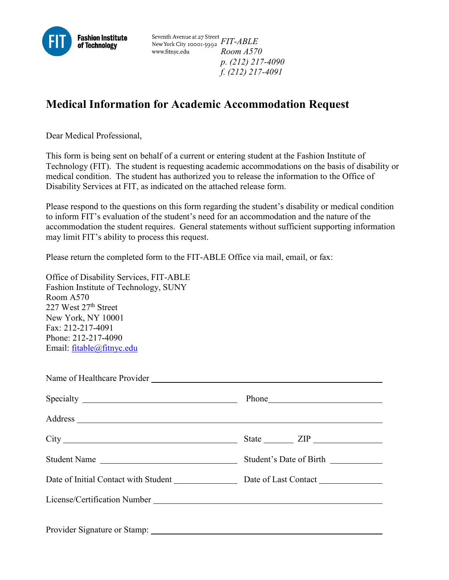

Seventh Avenue at 27 Street<br>New York City 10001-5992 *FIT-ABLE* www.fitnyc.edu *Room A570 p. (212) 217-4090 f. (212) 217-4091*

## **Medical Information for Academic Accommodation Request**

Dear Medical Professional,

This form is being sent on behalf of a current or entering student at the Fashion Institute of Technology (FIT). The student is requesting academic accommodations on the basis of disability or medical condition. The student has authorized you to release the information to the Office of Disability Services at FIT, as indicated on the attached release form.

Please respond to the questions on this form regarding the student's disability or medical condition to inform FIT's evaluation of the student's need for an accommodation and the nature of the accommodation the student requires. General statements without sufficient supporting information may limit FIT's ability to process this request.

Please return the completed form to the FIT-ABLE Office via mail, email, or fax:

Office of Disability Services, FIT-ABLE Fashion Institute of Technology, SUNY Room A570 227 West 27<sup>th</sup> Street New York, NY 10001 Fax: 212-217-4091 Phone: 212-217-4090 Email: [fitable@fitnyc.edu](mailto:fitable@fitnyc.edu)

| Student Name                                                                                                                                                                                                                   | Student's Date of Birth |
|--------------------------------------------------------------------------------------------------------------------------------------------------------------------------------------------------------------------------------|-------------------------|
|                                                                                                                                                                                                                                |                         |
|                                                                                                                                                                                                                                |                         |
|                                                                                                                                                                                                                                |                         |
| Provider Signature or Stamp: 1986. [19] The Stamps and Stamps and Stamps and Stamps and Stamps and Stamps and Stamps and Stamps and Stamps and Stamps and Stamps and Stamps and Stamps and Stamps and Stamps and Stamps and St |                         |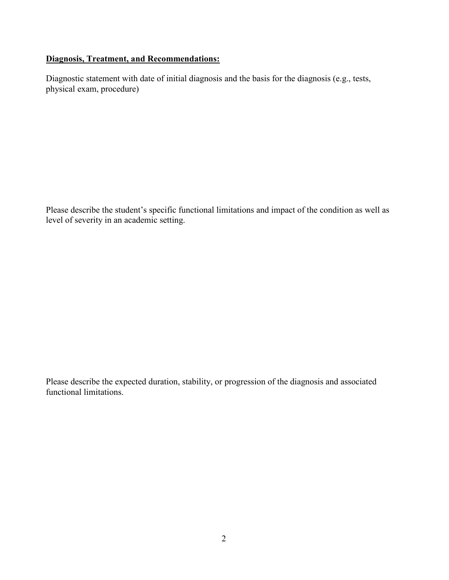## **Diagnosis, Treatment, and Recommendations:**

Diagnostic statement with date of initial diagnosis and the basis for the diagnosis (e.g., tests, physical exam, procedure)

Please describe the student's specific functional limitations and impact of the condition as well as level of severity in an academic setting.

Please describe the expected duration, stability, or progression of the diagnosis and associated functional limitations.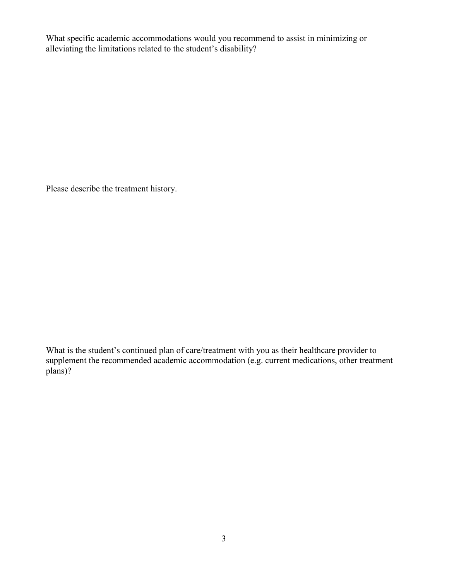What specific academic accommodations would you recommend to assist in minimizing or alleviating the limitations related to the student's disability?

Please describe the treatment history.

What is the student's continued plan of care/treatment with you as their healthcare provider to supplement the recommended academic accommodation (e.g. current medications, other treatment plans)?